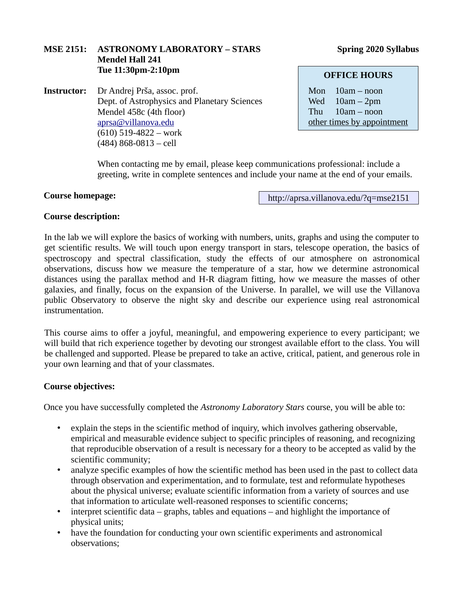# **MSE 2151: ASTRONOMY LABORATORY – STARS** Spring 2020 Syllabus **Mendel Hall 241 Tue 11:30pm-2:10pm**

**Instructor:** Dr Andrej Prša, assoc. prof. Dept. of Astrophysics and Planetary Sciences Mendel 458c (4th floor) [aprsa@villanova.edu](mailto:aprsa@villanova.edu) (610) 519-4822 – work (484) 868-0813 – cell

# **OFFICE HOURS**

Mon 10am – noon Wed 10am – 2pm Thu 10am – noon other times by appointment

When contacting me by email, please keep communications professional: include a greeting, write in complete sentences and include your name at the end of your emails.

#### **Course homepage:**

http://aprsa.villanova.edu/?q=mse2151

# **Course description:**

In the lab we will explore the basics of working with numbers, units, graphs and using the computer to get scientific results. We will touch upon energy transport in stars, telescope operation, the basics of spectroscopy and spectral classification, study the effects of our atmosphere on astronomical observations, discuss how we measure the temperature of a star, how we determine astronomical distances using the parallax method and H-R diagram fitting, how we measure the masses of other galaxies, and finally, focus on the expansion of the Universe. In parallel, we will use the Villanova public Observatory to observe the night sky and describe our experience using real astronomical instrumentation.

This course aims to offer a joyful, meaningful, and empowering experience to every participant; we will build that rich experience together by devoting our strongest available effort to the class. You will be challenged and supported. Please be prepared to take an active, critical, patient, and generous role in your own learning and that of your classmates.

# **Course objectives:**

Once you have successfully completed the *Astronomy Laboratory Stars* course, you will be able to:

- explain the steps in the scientific method of inquiry, which involves gathering observable, empirical and measurable evidence subject to specific principles of reasoning, and recognizing that reproducible observation of a result is necessary for a theory to be accepted as valid by the scientific community;
- analyze specific examples of how the scientific method has been used in the past to collect data through observation and experimentation, and to formulate, test and reformulate hypotheses about the physical universe; evaluate scientific information from a variety of sources and use that information to articulate well-reasoned responses to scientific concerns;
- interpret scientific data graphs, tables and equations and highlight the importance of physical units;
- have the foundation for conducting your own scientific experiments and astronomical observations;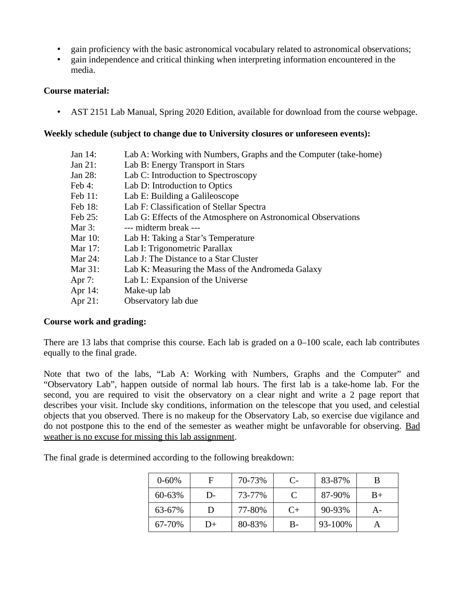- gain proficiency with the basic astronomical vocabulary related to astronomical observations;
- gain independence and critical thinking when interpreting information encountered in the media.

### **Course material:**

• AST 2151 Lab Manual, Spring 2020 Edition, available for download from the course webpage.

# **Weekly schedule (subject to change due to University closures or unforeseen events):**

- Jan 14: Lab A: Working with Numbers, Graphs and the Computer (take-home) Jan 21: Lab B: Energy Transport in Stars
- Jan 28: Lab C: Introduction to Spectroscopy
- Feb 4: Lab D: Introduction to Optics
- Feb 11: Lab E: Building a Galileoscope
- Feb 18: Lab F: Classification of Stellar Spectra
- Feb 25: Lab G: Effects of the Atmosphere on Astronomical Observations
- Mar 3: --- midterm break ---
- Mar 10: Lab H: Taking a Star's Temperature
- Mar 17: Lab I: Trigonometric Parallax
- Mar 24: Lab J: The Distance to a Star Cluster
- Mar 31: Lab K: Measuring the Mass of the Andromeda Galaxy
- Apr 7: Lab L: Expansion of the Universe
- Apr 14: Make-up lab
- Apr 21: Observatory lab due

# **Course work and grading:**

There are 13 labs that comprise this course. Each lab is graded on a  $0-100$  scale, each lab contributes equally to the final grade.

Note that two of the labs, "Lab A: Working with Numbers, Graphs and the Computer" and "Observatory Lab", happen outside of normal lab hours. The first lab is a take-home lab. For the second, you are required to visit the observatory on a clear night and write a 2 page report that describes your visit. Include sky conditions, information on the telescope that you used, and celestial objects that you observed. There is no makeup for the Observatory Lab, so exercise due vigilance and do not postpone this to the end of the semester as weather might be unfavorable for observing. Bad weather is no excuse for missing this lab assignment.

The final grade is determined according to the following breakdown:

| $0 - 60%$ | F  | 70-73% | C-   | 83-87%  | В     |
|-----------|----|--------|------|---------|-------|
| 60-63%    | D- | 73-77% | C    | 87-90%  | $B+$  |
| 63-67%    | Ð  | 77-80% | $C+$ | 90-93%  | $A -$ |
| 67-70%    | D+ | 80-83% | B-   | 93-100% |       |